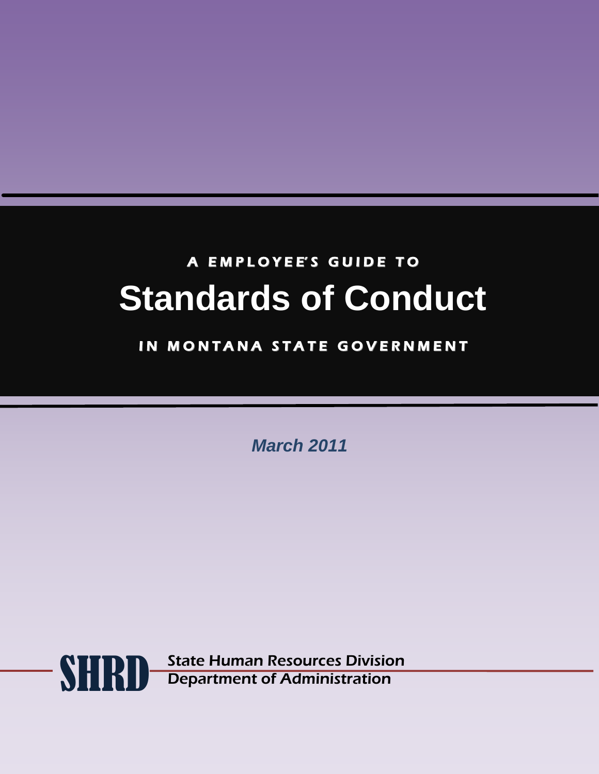# A EMPLOYEE'S GUIDE TO **Standards of Conduct**

## IN MONTANA STATE GOVERNMENT

*March 2011*

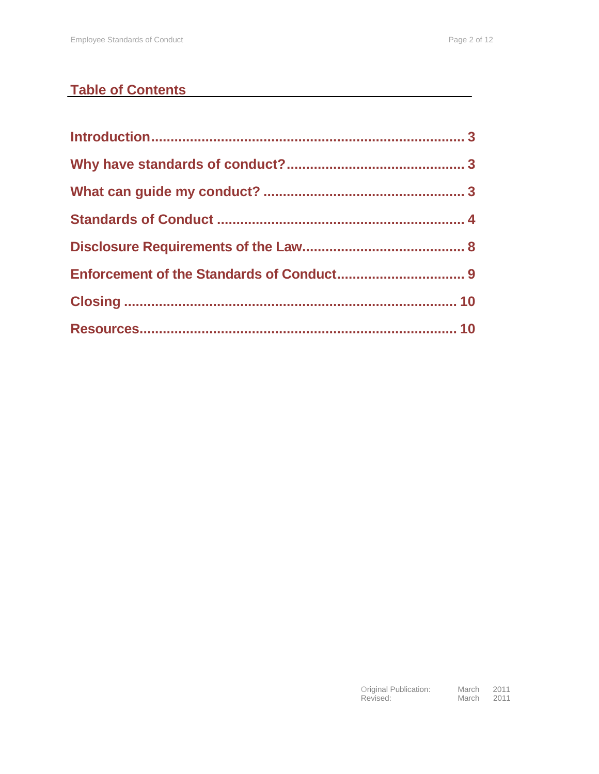## **Table of Contents**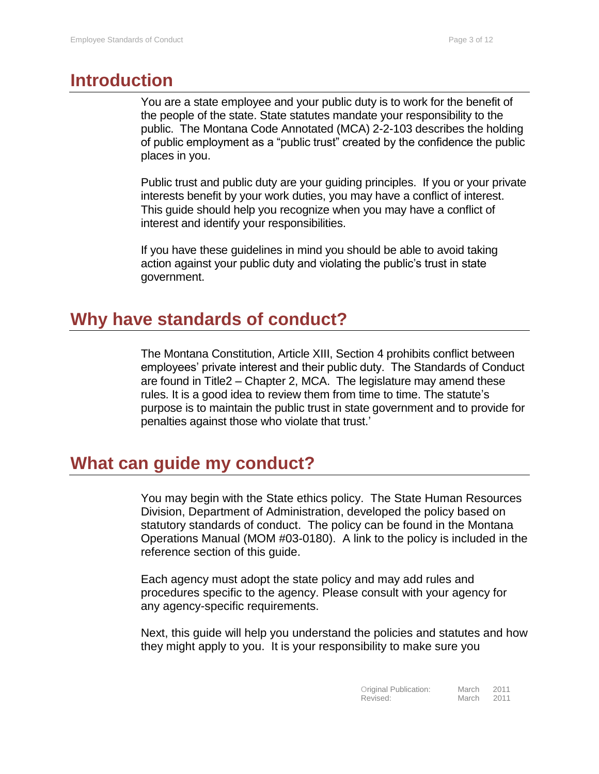## <span id="page-2-0"></span>**Introduction**

You are a state employee and your public duty is to work for the benefit of the people of the state. State statutes mandate your responsibility to the public. The Montana Code Annotated (MCA) 2-2-103 describes the holding of public employment as a "public trust" created by the confidence the public places in you.

Public trust and public duty are your guiding principles. If you or your private interests benefit by your work duties, you may have a conflict of interest. This guide should help you recognize when you may have a conflict of interest and identify your responsibilities.

If you have these guidelines in mind you should be able to avoid taking action against your public duty and violating the public's trust in state government.

#### <span id="page-2-1"></span>**Why have standards of conduct?**

The Montana Constitution, Article XIII, Section 4 prohibits conflict between employees' private interest and their public duty. The Standards of Conduct are found in Title2 – Chapter 2, MCA. The legislature may amend these rules. It is a good idea to review them from time to time. The statute's purpose is to maintain the public trust in state government and to provide for penalties against those who violate that trust.'

#### <span id="page-2-2"></span>**What can guide my conduct?**

You may begin with the State ethics policy. The State Human Resources Division, Department of Administration, developed the policy based on statutory standards of conduct. The policy can be found in the Montana Operations Manual (MOM #03-0180). A link to the policy is included in the reference section of this guide.

Each agency must adopt the state policy and may add rules and procedures specific to the agency. Please consult with your agency for any agency-specific requirements.

Next, this guide will help you understand the policies and statutes and how they might apply to you. It is your responsibility to make sure you

| Original Publication: | March | 2011 |
|-----------------------|-------|------|
| Revised:              | March | 2011 |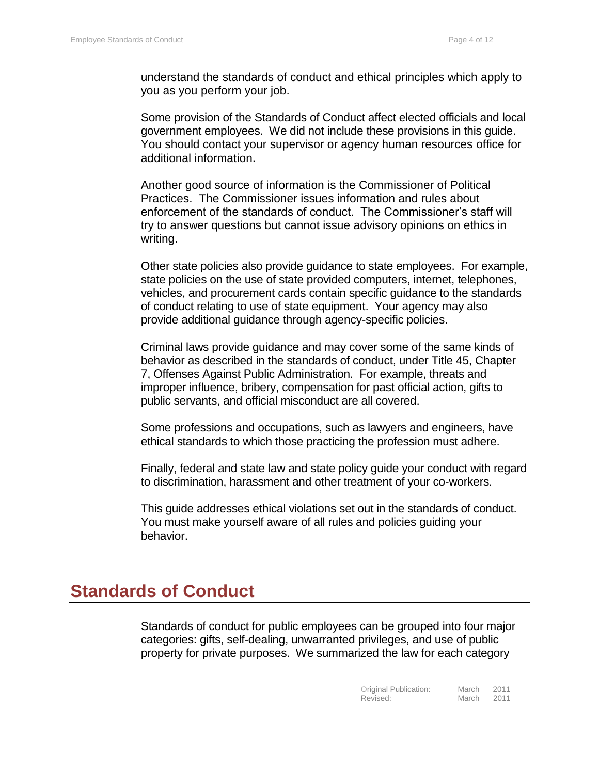understand the standards of conduct and ethical principles which apply to you as you perform your job.

Some provision of the Standards of Conduct affect elected officials and local government employees. We did not include these provisions in this guide. You should contact your supervisor or agency human resources office for additional information.

Another good source of information is the Commissioner of Political Practices. The Commissioner issues information and rules about enforcement of the standards of conduct. The Commissioner's staff will try to answer questions but cannot issue advisory opinions on ethics in writing.

Other state policies also provide guidance to state employees. For example, state policies on the use of state provided computers, internet, telephones, vehicles, and procurement cards contain specific guidance to the standards of conduct relating to use of state equipment. Your agency may also provide additional guidance through agency-specific policies.

Criminal laws provide guidance and may cover some of the same kinds of behavior as described in the standards of conduct, under Title 45, Chapter 7, Offenses Against Public Administration. For example, threats and improper influence, bribery, compensation for past official action, gifts to public servants, and official misconduct are all covered.

Some professions and occupations, such as lawyers and engineers, have ethical standards to which those practicing the profession must adhere.

Finally, federal and state law and state policy guide your conduct with regard to discrimination, harassment and other treatment of your co-workers.

This guide addresses ethical violations set out in the standards of conduct. You must make yourself aware of all rules and policies guiding your behavior.

#### <span id="page-3-0"></span>**Standards of Conduct**

Standards of conduct for public employees can be grouped into four major categories: gifts, self-dealing, unwarranted privileges, and use of public property for private purposes. We summarized the law for each category

| Original Publication: | March | 2011 |
|-----------------------|-------|------|
| Revised:              | March | 2011 |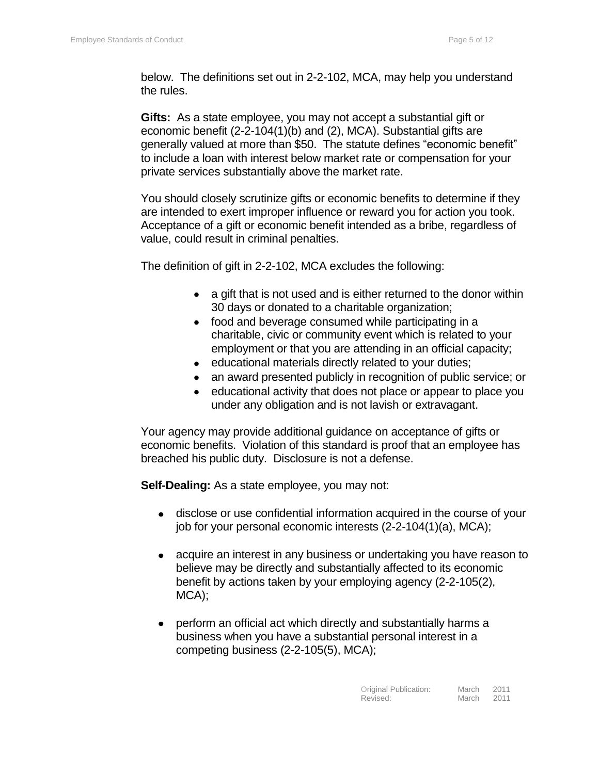below. The definitions set out in 2-2-102, MCA, may help you understand the rules.

**Gifts:** As a state employee, you may not accept a substantial gift or economic benefit (2-2-104(1)(b) and (2), MCA). Substantial gifts are generally valued at more than \$50. The statute defines "economic benefit" to include a loan with interest below market rate or compensation for your private services substantially above the market rate.

You should closely scrutinize gifts or economic benefits to determine if they are intended to exert improper influence or reward you for action you took. Acceptance of a gift or economic benefit intended as a bribe, regardless of value, could result in criminal penalties.

The definition of gift in 2-2-102, MCA excludes the following:

- a gift that is not used and is either returned to the donor within 30 days or donated to a charitable organization;
- food and beverage consumed while participating in a charitable, civic or community event which is related to your employment or that you are attending in an official capacity;
- educational materials directly related to your duties;
- an award presented publicly in recognition of public service; or
- educational activity that does not place or appear to place you under any obligation and is not lavish or extravagant.

Your agency may provide additional guidance on acceptance of gifts or economic benefits. Violation of this standard is proof that an employee has breached his public duty. Disclosure is not a defense.

**Self-Dealing:** As a state employee, you may not:

- disclose or use confidential information acquired in the course of your job for your personal economic interests (2-2-104(1)(a), MCA);
- acquire an interest in any business or undertaking you have reason to believe may be directly and substantially affected to its economic benefit by actions taken by your employing agency (2-2-105(2), MCA);
- perform an official act which directly and substantially harms a business when you have a substantial personal interest in a competing business (2-2-105(5), MCA);

| Original Publication: | March | 2011 |
|-----------------------|-------|------|
| Revised:              | March | 2011 |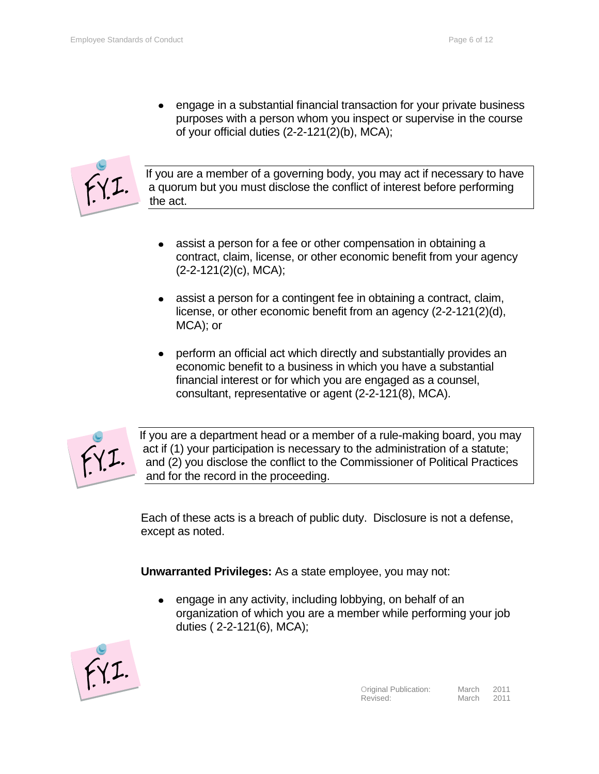engage in a substantial financial transaction for your private business purposes with a person whom you inspect or supervise in the course of your official duties (2-2-121(2)(b), MCA);



If you are a member of a governing body, you may act if necessary to have a quorum but you must disclose the conflict of interest before performing the act.

- assist a person for a fee or other compensation in obtaining a contract, claim, license, or other economic benefit from your agency (2-2-121(2)(c), MCA);
- assist a person for a contingent fee in obtaining a contract, claim, license, or other economic benefit from an agency (2-2-121(2)(d), MCA); or
- perform an official act which directly and substantially provides an economic benefit to a business in which you have a substantial financial interest or for which you are engaged as a counsel, consultant, representative or agent (2-2-121(8), MCA).



If you are a department head or a member of a rule-making board, you may act if (1) your participation is necessary to the administration of a statute; and (2) you disclose the conflict to the Commissioner of Political Practices and for the record in the proceeding.

Each of these acts is a breach of public duty. Disclosure is not a defense, except as noted.

**Unwarranted Privileges:** As a state employee, you may not:

engage in any activity, including lobbying, on behalf of an organization of which you are a member while performing your job duties ( 2-2-121(6), MCA);

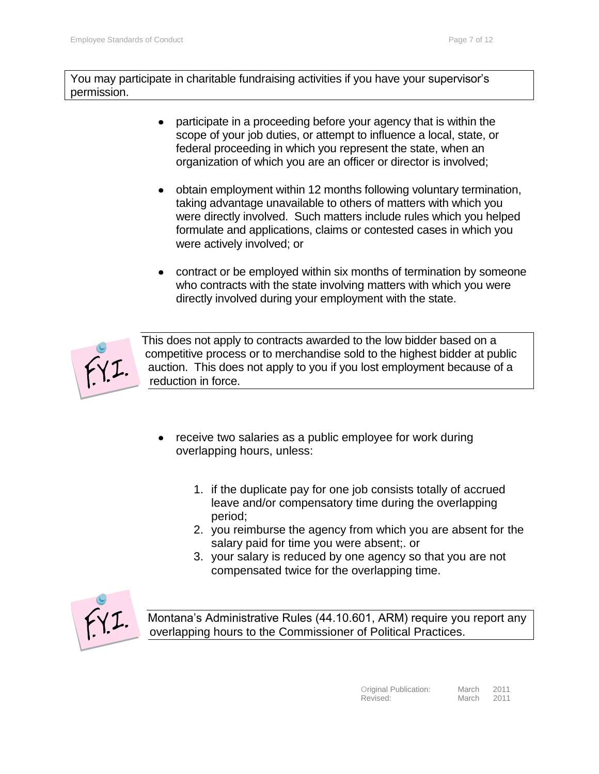You may participate in charitable fundraising activities if you have your supervisor's permission.

- participate in a proceeding before your agency that is within the scope of your job duties, or attempt to influence a local, state, or federal proceeding in which you represent the state, when an organization of which you are an officer or director is involved;
- obtain employment within 12 months following voluntary termination, taking advantage unavailable to others of matters with which you were directly involved. Such matters include rules which you helped formulate and applications, claims or contested cases in which you were actively involved; or
- contract or be employed within six months of termination by someone who contracts with the state involving matters with which you were directly involved during your employment with the state.



This does not apply to contracts awarded to the low bidder based on a competitive process or to merchandise sold to the highest bidder at public auction. This does not apply to you if you lost employment because of a reduction in force.

- receive two salaries as a public employee for work during overlapping hours, unless:
	- 1. if the duplicate pay for one job consists totally of accrued leave and/or compensatory time during the overlapping period;
	- 2. you reimburse the agency from which you are absent for the salary paid for time you were absent;. or
	- 3. your salary is reduced by one agency so that you are not compensated twice for the overlapping time.



Montana's Administrative Rules (44.10.601, ARM) require you report any overlapping hours to the Commissioner of Political Practices.

| Original Publication: | March | 2011 |
|-----------------------|-------|------|
| Revised:              | March | 2011 |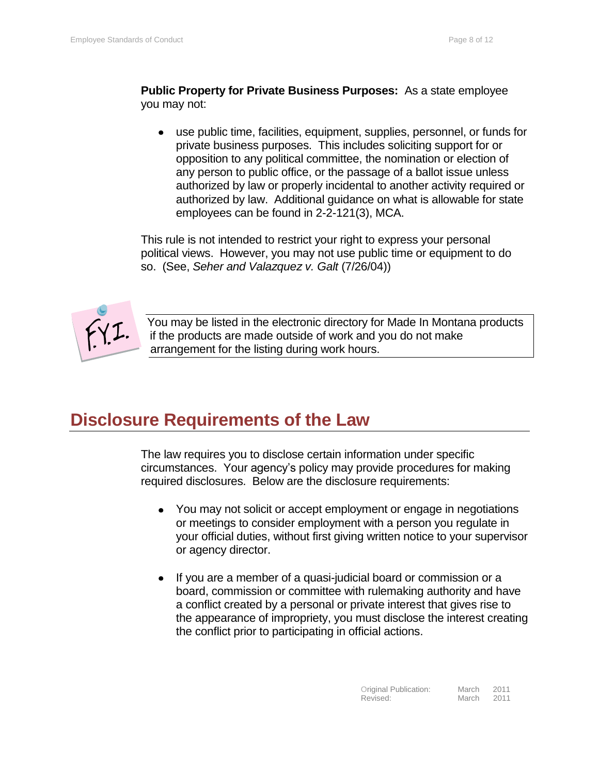**Public Property for Private Business Purposes:** As a state employee you may not:

use public time, facilities, equipment, supplies, personnel, or funds for private business purposes. This includes soliciting support for or opposition to any political committee, the nomination or election of any person to public office, or the passage of a ballot issue unless authorized by law or properly incidental to another activity required or authorized by law. Additional guidance on what is allowable for state employees can be found in 2-2-121(3), MCA.

This rule is not intended to restrict your right to express your personal political views. However, you may not use public time or equipment to do so. (See, *Seher and Valazquez v. Galt* (7/26/04))



You may be listed in the electronic directory for Made In Montana products if the products are made outside of work and you do not make arrangement for the listing during work hours.

# <span id="page-7-0"></span>**Disclosure Requirements of the Law**

The law requires you to disclose certain information under specific circumstances. Your agency's policy may provide procedures for making required disclosures. Below are the disclosure requirements:

- You may not solicit or accept employment or engage in negotiations or meetings to consider employment with a person you regulate in your official duties, without first giving written notice to your supervisor or agency director.
- If you are a member of a quasi-judicial board or commission or a board, commission or committee with rulemaking authority and have a conflict created by a personal or private interest that gives rise to the appearance of impropriety, you must disclose the interest creating the conflict prior to participating in official actions.

| Original Publication: | March | 2011 |
|-----------------------|-------|------|
| Revised:              | March | 2011 |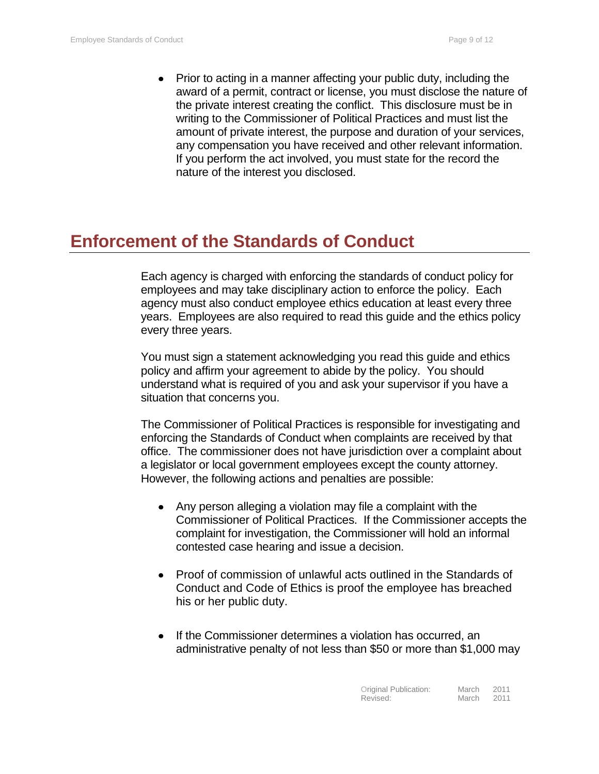• Prior to acting in a manner affecting your public duty, including the award of a permit, contract or license, you must disclose the nature of the private interest creating the conflict. This disclosure must be in writing to the Commissioner of Political Practices and must list the amount of private interest, the purpose and duration of your services, any compensation you have received and other relevant information. If you perform the act involved, you must state for the record the nature of the interest you disclosed.

## <span id="page-8-0"></span>**Enforcement of the Standards of Conduct**

Each agency is charged with enforcing the standards of conduct policy for employees and may take disciplinary action to enforce the policy. Each agency must also conduct employee ethics education at least every three years. Employees are also required to read this guide and the ethics policy every three years.

You must sign a statement acknowledging you read this guide and ethics policy and affirm your agreement to abide by the policy. You should understand what is required of you and ask your supervisor if you have a situation that concerns you.

The Commissioner of Political Practices is responsible for investigating and enforcing the Standards of Conduct when complaints are received by that office. The commissioner does not have jurisdiction over a complaint about a legislator or local government employees except the county attorney. However, the following actions and penalties are possible:

- Any person alleging a violation may file a complaint with the Commissioner of Political Practices. If the Commissioner accepts the complaint for investigation, the Commissioner will hold an informal contested case hearing and issue a decision.
- Proof of commission of unlawful acts outlined in the Standards of Conduct and Code of Ethics is proof the employee has breached his or her public duty.
- If the Commissioner determines a violation has occurred, an administrative penalty of not less than \$50 or more than \$1,000 may

| Original Publication: | March | 2011 |
|-----------------------|-------|------|
| Revised:              | March | 2011 |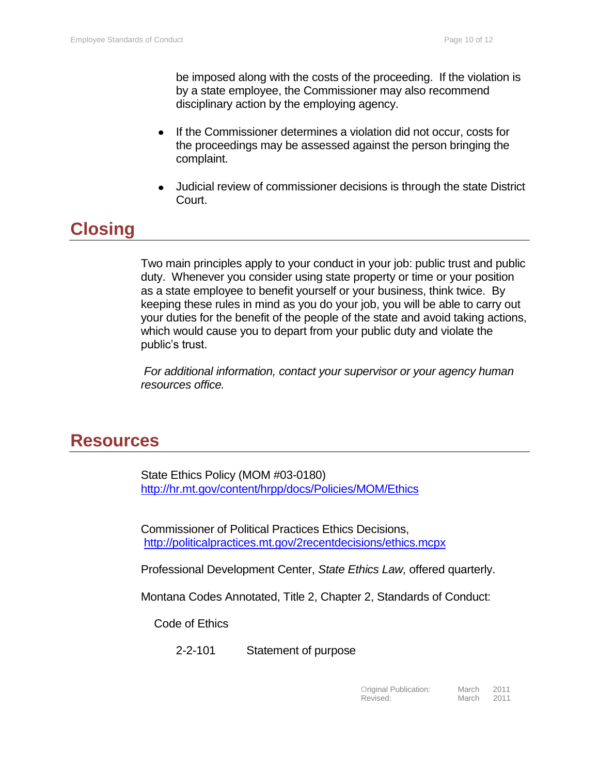be imposed along with the costs of the proceeding. If the violation is by a state employee, the Commissioner may also recommend disciplinary action by the employing agency.

- If the Commissioner determines a violation did not occur, costs for  $\bullet$ the proceedings may be assessed against the person bringing the complaint.
- Judicial review of commissioner decisions is through the state District Court.

## <span id="page-9-0"></span>**Closing**

Two main principles apply to your conduct in your job: public trust and public duty. Whenever you consider using state property or time or your position as a state employee to benefit yourself or your business, think twice. By keeping these rules in mind as you do your job, you will be able to carry out your duties for the benefit of the people of the state and avoid taking actions, which would cause you to depart from your public duty and violate the public's trust.

*For additional information, contact your supervisor or your agency human resources office.*

#### <span id="page-9-1"></span>**Resources**

State Ethics Policy (MOM #03-0180) <http://hr.mt.gov/content/hrpp/docs/Policies/MOM/Ethics>

Commissioner of Political Practices Ethics Decisions, <http://politicalpractices.mt.gov/2recentdecisions/ethics.mcpx>

Professional Development Center, *State Ethics Law,* offered quarterly.

Montana Codes Annotated, Title 2, Chapter 2, Standards of Conduct:

Code of Ethics

2-2-101 Statement of purpose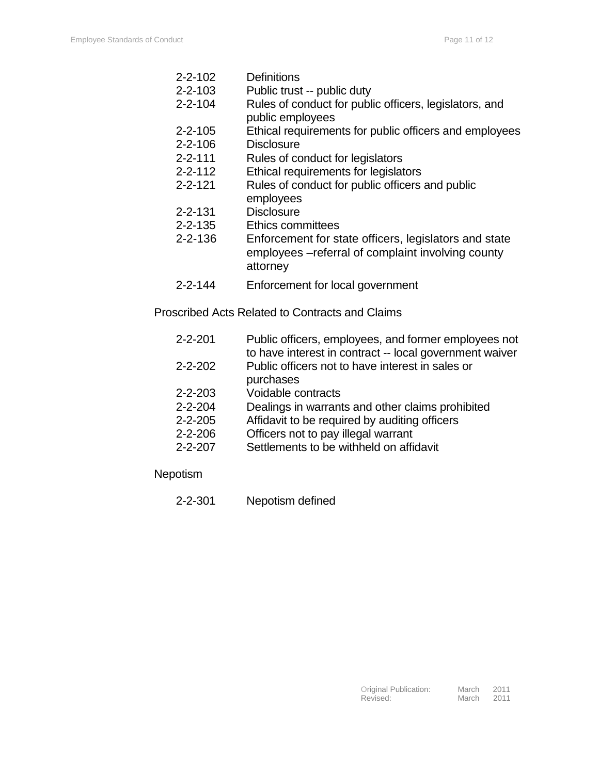- 2-2-102 Definitions
- 2-2-103 Public trust -- public duty
- 2-2-104 Rules of conduct for public officers, legislators, and public employees
- 2-2-105 Ethical requirements for public officers and employees 2-2-106 Disclosure
- 2-2-111 Rules of conduct for legislators
- 2-2-112 Ethical requirements for legislators
- 2-2-121 Rules of conduct for public officers and public employees
- 2-2-131 Disclosure
- 2-2-135 Ethics committees
- 2-2-136 Enforcement for state officers, legislators and state employees –referral of complaint involving county attorney
- 2-2-144 Enforcement for local government

Proscribed Acts Related to Contracts and Claims

- 2-2-201 Public officers, employees, and former employees not to have interest in contract -- local government waiver 2-2-202 Public officers not to have interest in sales or purchases
- 2-2-203 Voidable contracts
- 2-2-204 Dealings in warrants and other claims prohibited
- 2-2-205 Affidavit to be required by auditing officers
	- 2-2-206 Officers not to pay illegal warrant
- 2-2-207 Settlements to be withheld on affidavit
- **Nepotism** 
	- 2-2-301 Nepotism defined